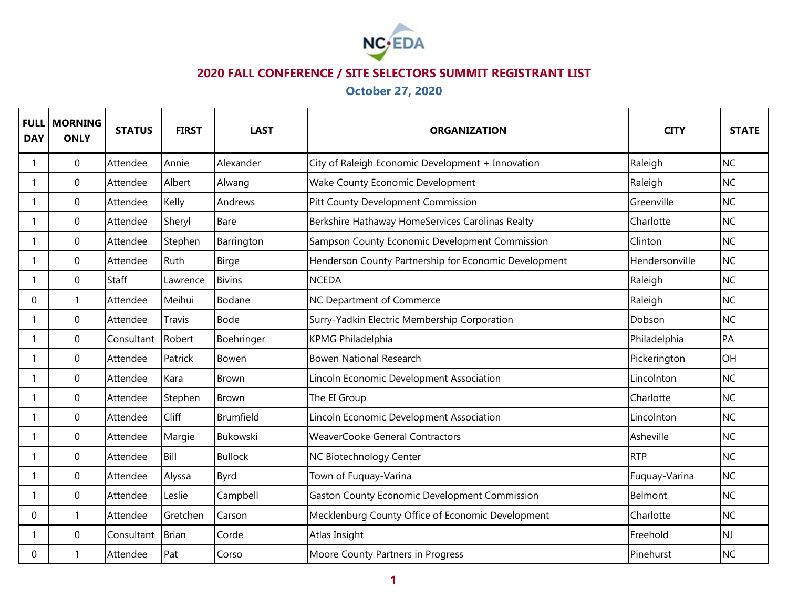

| <b>FULL</b><br><b>DAY</b> | <b>MORNING</b><br><b>ONLY</b> | <b>STATUS</b> | <b>FIRST</b>  | <b>LAST</b>      | <b>ORGANIZATION</b>                                   | <b>CITY</b>    | <b>STATE</b> |
|---------------------------|-------------------------------|---------------|---------------|------------------|-------------------------------------------------------|----------------|--------------|
| 1                         | 0                             | Attendee      | Annie         | Alexander        | City of Raleigh Economic Development + Innovation     | Raleigh        | <b>NC</b>    |
|                           | 0                             | Attendee      | Albert        | Alwang           | Wake County Economic Development                      | Raleigh        | <b>NC</b>    |
|                           | 0                             | Attendee      | Kelly         | Andrews          | Pitt County Development Commission                    | Greenville     | <b>NC</b>    |
|                           | $\overline{0}$                | Attendee      | Sheryl        | Bare             | Berkshire Hathaway HomeServices Carolinas Realty      | Charlotte      | <b>NC</b>    |
|                           | 0                             | Attendee      | Stephen       | Barrington       | Sampson County Economic Development Commission        | Clinton        | <b>NC</b>    |
|                           | 0                             | Attendee      | Ruth          | <b>Birge</b>     | Henderson County Partnership for Economic Development | Hendersonville | <b>NC</b>    |
|                           | 0                             | Staff         | Lawrence      | <b>Bivins</b>    | <b>NCEDA</b>                                          | Raleigh        | <b>NC</b>    |
| 0                         | 1                             | Attendee      | Meihui        | Bodane           | NC Department of Commerce                             | Raleigh        | <b>NC</b>    |
|                           | $\overline{0}$                | Attendee      | <b>Travis</b> | <b>Bode</b>      | Surry-Yadkin Electric Membership Corporation          | Dobson         | <b>NC</b>    |
|                           | 0                             | Consultant    | Robert        | Boehringer       | <b>KPMG Philadelphia</b>                              | Philadelphia   | PA           |
|                           | 0                             | Attendee      | Patrick       | Bowen            | <b>Bowen National Research</b>                        | Pickerington   | OH           |
|                           | 0                             | Attendee      | Kara          | Brown            | Lincoln Economic Development Association              | Lincolnton     | <b>NC</b>    |
|                           | 0                             | Attendee      | Stephen       | <b>Brown</b>     | The EI Group                                          | Charlotte      | <b>NC</b>    |
|                           | 0                             | Attendee      | Cliff         | <b>Brumfield</b> | Lincoln Economic Development Association              | Lincolnton     | <b>NC</b>    |
| 1                         | 0                             | Attendee      | Margie        | <b>Bukowski</b>  | <b>WeaverCooke General Contractors</b>                | Asheville      | <b>NC</b>    |
|                           | 0                             | Attendee      | Bill          | <b>Bullock</b>   | NC Biotechnology Center                               | <b>RTP</b>     | <b>NC</b>    |
|                           | $\overline{0}$                | Attendee      | Alyssa        | <b>Byrd</b>      | Town of Fuquay-Varina                                 | Fuquay-Varina  | <b>NC</b>    |
|                           | $\overline{0}$                | Attendee      | Leslie        | Campbell         | Gaston County Economic Development Commission         | Belmont        | <b>NC</b>    |
| $\Omega$                  |                               | Attendee      | Gretchen      | Carson           | Mecklenburg County Office of Economic Development     | Charlotte      | <b>NC</b>    |
|                           | 0                             | Consultant    | <b>Brian</b>  | Corde            | Atlas Insight                                         | Freehold       | NJ           |
| 0                         |                               | Attendee      | Pat           | Corso            | Moore County Partners in Progress                     | Pinehurst      | <b>NC</b>    |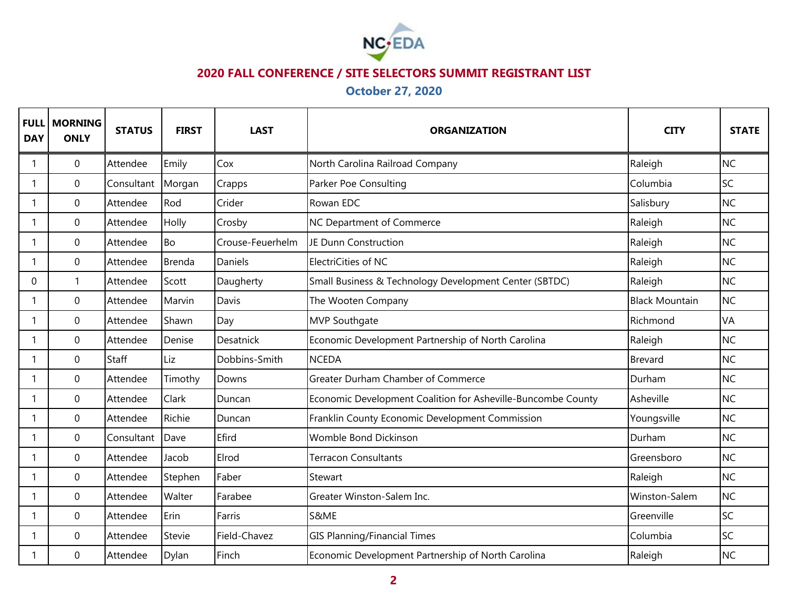

| <b>FULL</b><br><b>DAY</b> | <b>MORNING</b><br><b>ONLY</b> | <b>STATUS</b> | <b>FIRST</b>  | <b>LAST</b>      | <b>ORGANIZATION</b>                                          | <b>CITY</b>           | <b>STATE</b> |
|---------------------------|-------------------------------|---------------|---------------|------------------|--------------------------------------------------------------|-----------------------|--------------|
| $\mathbf{1}$              | $\mathbf 0$                   | Attendee      | Emily         | Cox              | North Carolina Railroad Company                              | Raleigh               | <b>NC</b>    |
| 1                         | 0                             | Consultant    | Morgan        | Crapps           | Parker Poe Consulting                                        | Columbia              | <b>SC</b>    |
| 1                         | 0                             | Attendee      | Rod           | Crider           | Rowan EDC                                                    | Salisbury             | <b>NC</b>    |
| 1                         | $\overline{0}$                | Attendee      | Holly         | Crosby           | NC Department of Commerce                                    | Raleigh               | <b>NC</b>    |
| 1                         | $\mathbf 0$                   | Attendee      | Bo            | Crouse-Feuerhelm | JE Dunn Construction                                         | Raleigh               | <b>NC</b>    |
| 1                         | $\overline{0}$                | Attendee      | Brenda        | Daniels          | ElectriCities of NC                                          | Raleigh               | <b>NC</b>    |
| 0                         | 1                             | Attendee      | Scott         | Daugherty        | Small Business & Technology Development Center (SBTDC)       | Raleigh               | <b>NC</b>    |
| 1                         | $\mathbf 0$                   | Attendee      | Marvin        | Davis            | The Wooten Company                                           | <b>Black Mountain</b> | <b>NC</b>    |
| 1                         | $\overline{0}$                | Attendee      | Shawn         | Day              | MVP Southgate                                                | Richmond              | <b>VA</b>    |
| 1                         | $\mathbf 0$                   | Attendee      | Denise        | Desatnick        | Economic Development Partnership of North Carolina           | Raleigh               | <b>NC</b>    |
| 1                         | 0                             | Staff         | Liz           | Dobbins-Smith    | <b>NCEDA</b>                                                 | <b>Brevard</b>        | <b>NC</b>    |
| 1                         | $\mathbf 0$                   | Attendee      | Timothy       | Downs            | <b>Greater Durham Chamber of Commerce</b>                    | Durham                | <b>NC</b>    |
| 1                         | $\overline{0}$                | Attendee      | <b>Clark</b>  | Duncan           | Economic Development Coalition for Asheville-Buncombe County | Asheville             | <b>NC</b>    |
| 1                         | $\mathbf 0$                   | Attendee      | Richie        | Duncan           | Franklin County Economic Development Commission              | Youngsville           | <b>NC</b>    |
| 1                         | $\mathbf 0$                   | Consultant    | Dave          | Efird            | Womble Bond Dickinson                                        | Durham                | <b>NC</b>    |
| 1                         | $\mathbf 0$                   | Attendee      | Jacob         | Elrod            | <b>Terracon Consultants</b>                                  | Greensboro            | <b>NC</b>    |
| 1                         | $\overline{0}$                | Attendee      | Stephen       | Faber            | <b>Stewart</b>                                               | Raleigh               | <b>NC</b>    |
| 1                         | $\overline{0}$                | Attendee      | Walter        | Farabee          | Greater Winston-Salem Inc.                                   | Winston-Salem         | <b>NC</b>    |
| 1                         | $\Omega$                      | Attendee      | Erin          | Farris           | S&ME                                                         | Greenville            | <b>SC</b>    |
| 1                         | $\overline{0}$                | Attendee      | <b>Stevie</b> | Field-Chavez     | <b>GIS Planning/Financial Times</b>                          | Columbia              | <b>SC</b>    |
| 1                         | 0                             | Attendee      | Dylan         | Finch            | Economic Development Partnership of North Carolina           | Raleigh               | <b>NC</b>    |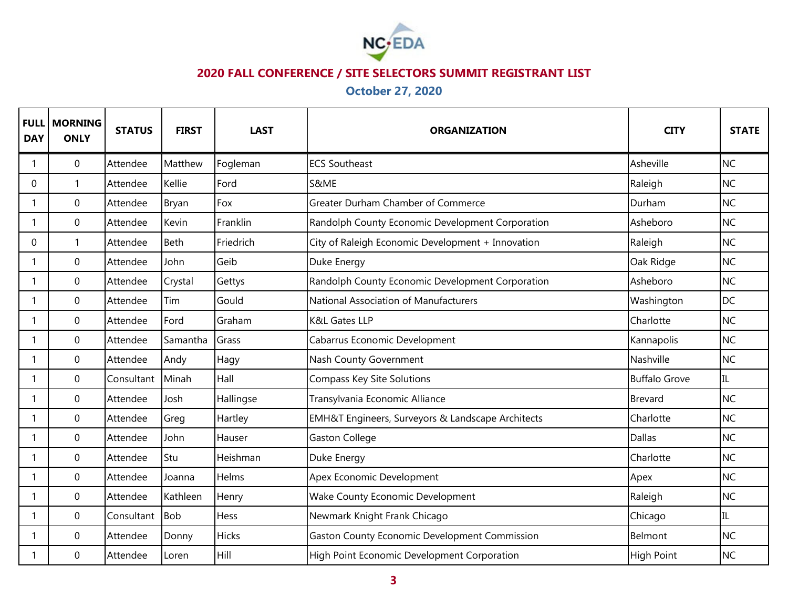

| <b>FULL</b><br><b>DAY</b> | <b>MORNING</b><br><b>ONLY</b> | <b>STATUS</b> | <b>FIRST</b> | <b>LAST</b>  | <b>ORGANIZATION</b>                               | <b>CITY</b>          | <b>STATE</b> |
|---------------------------|-------------------------------|---------------|--------------|--------------|---------------------------------------------------|----------------------|--------------|
| -1                        | $\overline{0}$                | Attendee      | Matthew      | Fogleman     | <b>ECS Southeast</b>                              | Asheville            | <b>NC</b>    |
| 0                         | 1                             | Attendee      | Kellie       | Ford         | S&ME                                              | Raleigh              | <b>NC</b>    |
|                           | $\overline{0}$                | Attendee      | Bryan        | Fox          | Greater Durham Chamber of Commerce                | Durham               | <b>NC</b>    |
|                           | $\overline{0}$                | Attendee      | Kevin        | Franklin     | Randolph County Economic Development Corporation  | Asheboro             | <b>NC</b>    |
| 0                         | 1                             | Attendee      | <b>Beth</b>  | Friedrich    | City of Raleigh Economic Development + Innovation | Raleigh              | <b>NC</b>    |
|                           | 0                             | Attendee      | John         | Geib         | Duke Energy                                       | Oak Ridge            | <b>NC</b>    |
|                           | $\overline{0}$                | Attendee      | Crystal      | Gettys       | Randolph County Economic Development Corporation  | Asheboro             | <b>NC</b>    |
|                           | 0                             | Attendee      | Tim          | Gould        | National Association of Manufacturers             | Washington           | <b>DC</b>    |
|                           | $\mathbf 0$                   | Attendee      | Ford         | Graham       | <b>K&amp;L Gates LLP</b>                          | Charlotte            | <b>NC</b>    |
|                           | $\overline{0}$                | Attendee      | Samantha     | Grass        | Cabarrus Economic Development                     | Kannapolis           | <b>NC</b>    |
|                           | 0                             | Attendee      | Andy         | Hagy         | Nash County Government                            | Nashville            | <b>NC</b>    |
|                           | $\overline{0}$                | Consultant    | Minah        | Hall         | Compass Key Site Solutions                        | <b>Buffalo Grove</b> | IL           |
|                           | 0                             | Attendee      | Josh         | Hallingse    | Transylvania Economic Alliance                    | <b>Brevard</b>       | <b>NC</b>    |
|                           | 0                             | Attendee      | Greg         | Hartley      | EMH&T Engineers, Surveyors & Landscape Architects | Charlotte            | <b>NC</b>    |
|                           | $\overline{0}$                | Attendee      | John         | Hauser       | Gaston College                                    | <b>Dallas</b>        | <b>NC</b>    |
|                           | 0                             | Attendee      | Stu          | Heishman     | Duke Energy                                       | Charlotte            | <b>NC</b>    |
|                           | $\overline{0}$                | Attendee      | Joanna       | Helms        | Apex Economic Development                         | Apex                 | <b>NC</b>    |
|                           | $\overline{0}$                | Attendee      | Kathleen     | Henry        | Wake County Economic Development                  | Raleigh              | <b>NC</b>    |
|                           | $\overline{0}$                | Consultant    | <b>Bob</b>   | <b>Hess</b>  | Newmark Knight Frank Chicago                      | Chicago              | IL           |
|                           | 0                             | Attendee      | Donny        | <b>Hicks</b> | Gaston County Economic Development Commission     | Belmont              | <b>NC</b>    |
|                           | 0                             | Attendee      | Loren        | Hill         | High Point Economic Development Corporation       | <b>High Point</b>    | <b>NC</b>    |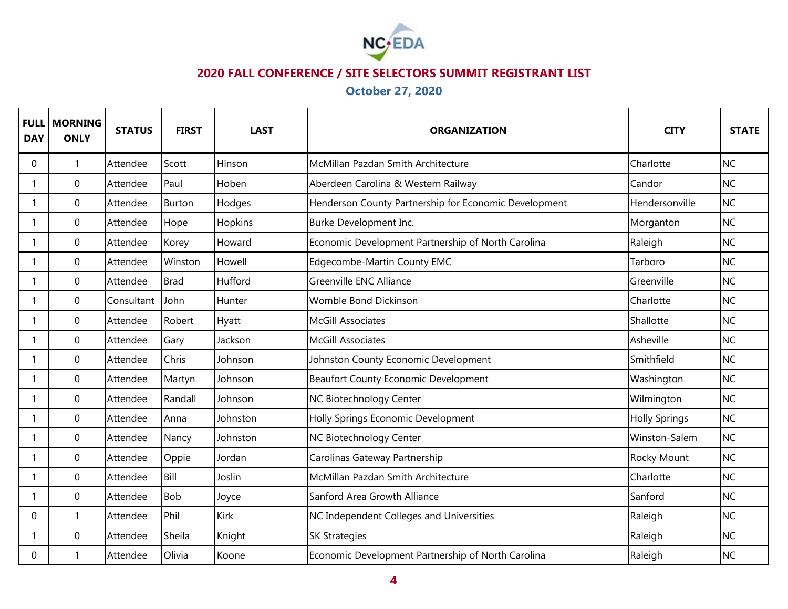

| <b>FULL</b><br><b>DAY</b> | <b>MORNING</b><br><b>ONLY</b> | <b>STATUS</b> | <b>FIRST</b>  | <b>LAST</b> | <b>ORGANIZATION</b>                                   | <b>CITY</b>          | <b>STATE</b> |
|---------------------------|-------------------------------|---------------|---------------|-------------|-------------------------------------------------------|----------------------|--------------|
| 0                         | 1                             | Attendee      | Scott         | Hinson      | McMillan Pazdan Smith Architecture                    | Charlotte            | <b>NC</b>    |
| 1                         | 0                             | Attendee      | Paul          | Hoben       | Aberdeen Carolina & Western Railway                   | Candor               | <b>NC</b>    |
| 1                         | 0                             | Attendee      | <b>Burton</b> | Hodges      | Henderson County Partnership for Economic Development | Hendersonville       | <b>NC</b>    |
| 1                         | $\overline{0}$                | Attendee      | Hope          | Hopkins     | Burke Development Inc.                                | Morganton            | <b>NC</b>    |
| 1                         | $\mathbf 0$                   | Attendee      | Korey         | Howard      | Economic Development Partnership of North Carolina    | Raleigh              | <b>NC</b>    |
| 1                         | $\overline{0}$                | Attendee      | Winston       | Howell      | Edgecombe-Martin County EMC                           | Tarboro              | <b>NC</b>    |
| 1                         | $\overline{0}$                | Attendee      | <b>Brad</b>   | Hufford     | Greenville ENC Alliance                               | Greenville           | <b>NC</b>    |
| 1                         | $\overline{0}$                | Consultant    | John          | Hunter      | Womble Bond Dickinson                                 | Charlotte            | <b>NC</b>    |
| 1                         | $\overline{0}$                | Attendee      | Robert        | Hyatt       | <b>McGill Associates</b>                              | Shallotte            | <b>NC</b>    |
| 1                         | $\mathbf 0$                   | Attendee      | Gary          | Jackson     | <b>McGill Associates</b>                              | Asheville            | <b>NC</b>    |
| 1                         | $\overline{0}$                | Attendee      | <b>Chris</b>  | Johnson     | Johnston County Economic Development                  | Smithfield           | <b>NC</b>    |
| 1                         | $\overline{0}$                | Attendee      | Martyn        | Johnson     | <b>Beaufort County Economic Development</b>           | Washington           | <b>NC</b>    |
| 1                         | $\overline{0}$                | Attendee      | Randall       | Johnson     | NC Biotechnology Center                               | Wilmington           | <b>NC</b>    |
| 1                         | $\mathbf 0$                   | Attendee      | Anna          | Johnston    | Holly Springs Economic Development                    | <b>Holly Springs</b> | <b>NC</b>    |
| 1                         | $\mathbf 0$                   | Attendee      | Nancy         | Johnston    | NC Biotechnology Center                               | Winston-Salem        | <b>NC</b>    |
| 1                         | $\overline{0}$                | Attendee      | Oppie         | Jordan      | Carolinas Gateway Partnership                         | Rocky Mount          | <b>NC</b>    |
| 1                         | $\overline{0}$                | Attendee      | Bill          | Joslin      | McMillan Pazdan Smith Architecture                    | Charlotte            | <b>NC</b>    |
| 1                         | $\overline{0}$                | Attendee      | <b>Bob</b>    | Joyce       | Sanford Area Growth Alliance                          | Sanford              | <b>NC</b>    |
| 0                         | 1                             | Attendee      | Phil          | <b>Kirk</b> | NC Independent Colleges and Universities              | Raleigh              | <b>NC</b>    |
| 1                         | $\overline{0}$                | Attendee      | Sheila        | Knight      | <b>SK Strategies</b>                                  | Raleigh              | <b>NC</b>    |
| $\Omega$                  |                               | Attendee      | Olivia        | Koone       | Economic Development Partnership of North Carolina    | Raleigh              | <b>NC</b>    |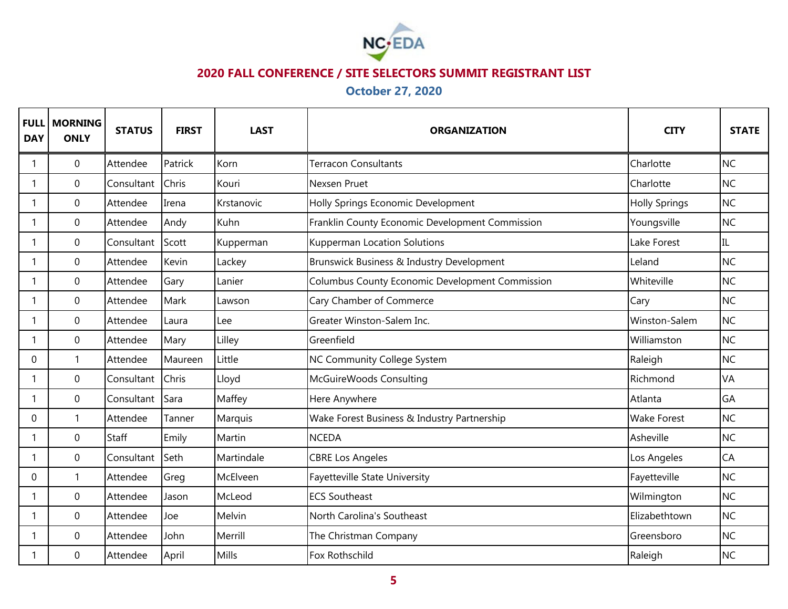

| <b>FULL</b><br><b>DAY</b> | <b>MORNING</b><br><b>ONLY</b> | <b>STATUS</b> | <b>FIRST</b> | <b>LAST</b> | <b>ORGANIZATION</b>                             | <b>CITY</b>          | <b>STATE</b> |
|---------------------------|-------------------------------|---------------|--------------|-------------|-------------------------------------------------|----------------------|--------------|
| -1                        | $\mathbf 0$                   | Attendee      | Patrick      | Korn        | Terracon Consultants                            | Charlotte            | <b>NC</b>    |
|                           | 0                             | Consultant    | Chris        | Kouri       | Nexsen Pruet                                    | Charlotte            | <b>NC</b>    |
|                           | $\overline{0}$                | Attendee      | Irena        | Krstanovic  | Holly Springs Economic Development              | <b>Holly Springs</b> | <b>NC</b>    |
|                           | $\overline{0}$                | Attendee      | Andy         | Kuhn        | Franklin County Economic Development Commission | Youngsville          | <b>NC</b>    |
|                           | $\overline{0}$                | Consultant    | Scott        | Kupperman   | <b>Kupperman Location Solutions</b>             | Lake Forest          | IL           |
|                           | 0                             | Attendee      | Kevin        | Lackey      | Brunswick Business & Industry Development       | Leland               | <b>NC</b>    |
|                           | $\overline{0}$                | Attendee      | Gary         | Lanier      | Columbus County Economic Development Commission | Whiteville           | <b>NC</b>    |
|                           | $\overline{0}$                | Attendee      | Mark         | Lawson      | Cary Chamber of Commerce                        | Cary                 | <b>NC</b>    |
|                           | $\overline{0}$                | Attendee      | Laura        | Lee         | Greater Winston-Salem Inc.                      | Winston-Salem        | <b>NC</b>    |
|                           | $\mathbf 0$                   | Attendee      | Mary         | Lilley      | Greenfield                                      | Williamston          | <b>NC</b>    |
| 0                         | 1                             | Attendee      | Maureen      | Little      | NC Community College System                     | Raleigh              | <b>NC</b>    |
|                           | $\overline{0}$                | Consultant    | Chris        | Lloyd       | McGuireWoods Consulting                         | Richmond             | <b>VA</b>    |
|                           | $\overline{0}$                | Consultant    | Sara         | Maffey      | Here Anywhere                                   | Atlanta              | GA           |
| $\Omega$                  | 1                             | Attendee      | Tanner       | Marquis     | Wake Forest Business & Industry Partnership     | <b>Wake Forest</b>   | <b>NC</b>    |
|                           | $\overline{0}$                | Staff         | Emily        | Martin      | <b>NCEDA</b>                                    | Asheville            | <b>NC</b>    |
| 1                         | 0                             | Consultant    | Seth         | Martindale  | <b>CBRE Los Angeles</b>                         | Los Angeles          | CA           |
| 0                         | 1                             | Attendee      | Greg         | McElveen    | <b>Fayetteville State University</b>            | Fayetteville         | <b>NC</b>    |
| $\mathbf 1$               | $\mathbf 0$                   | Attendee      | Jason        | McLeod      | <b>ECS Southeast</b>                            | Wilmington           | <b>NC</b>    |
|                           | $\overline{0}$                | Attendee      | Joe          | Melvin      | North Carolina's Southeast                      | Elizabethtown        | <b>NC</b>    |
|                           | $\overline{0}$                | Attendee      | John         | Merrill     | The Christman Company                           | Greensboro           | <b>NC</b>    |
|                           | 0                             | Attendee      | April        | Mills       | Fox Rothschild                                  | Raleigh              | <b>NC</b>    |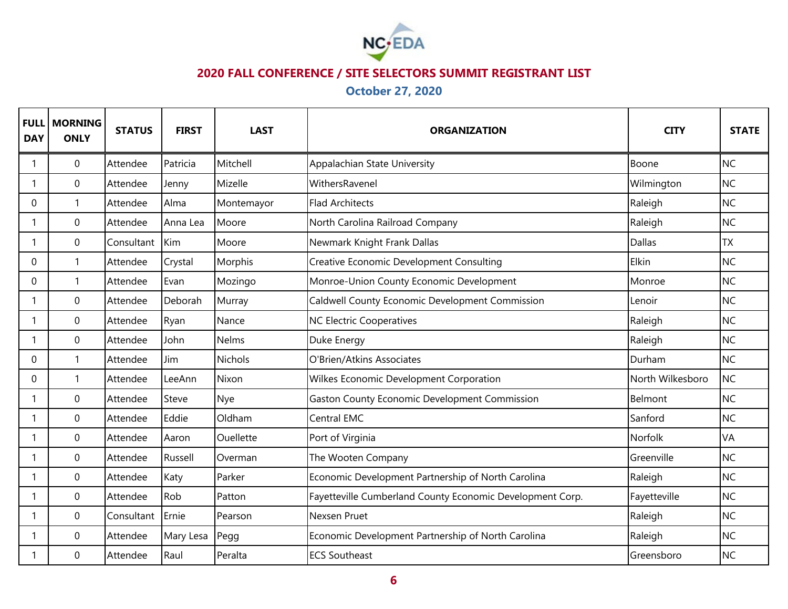

| <b>FULL</b><br><b>DAY</b> | <b>MORNING</b><br><b>ONLY</b> | <b>STATUS</b> | <b>FIRST</b> | <b>LAST</b>    | <b>ORGANIZATION</b>                                       | <b>CITY</b>      | <b>STATE</b> |
|---------------------------|-------------------------------|---------------|--------------|----------------|-----------------------------------------------------------|------------------|--------------|
| -1                        | $\overline{0}$                | Attendee      | Patricia     | Mitchell       | Appalachian State University                              | Boone            | <b>NC</b>    |
|                           | 0                             | Attendee      | Jenny        | Mizelle        | WithersRavenel                                            | Wilmington       | <b>NC</b>    |
| 0                         | 1                             | Attendee      | Alma         | Montemayor     | <b>Flad Architects</b>                                    | Raleigh          | <b>NC</b>    |
|                           | $\mathbf 0$                   | Attendee      | Anna Lea     | Moore          | North Carolina Railroad Company                           | Raleigh          | <b>NC</b>    |
|                           | $\mathbf 0$                   | Consultant    | Kim          | Moore          | Newmark Knight Frank Dallas                               | Dallas           | <b>TX</b>    |
| 0                         | 1                             | Attendee      | Crystal      | Morphis        | <b>Creative Economic Development Consulting</b>           | Elkin            | <b>NC</b>    |
| $\Omega$                  | 1                             | Attendee      | Evan         | Mozingo        | Monroe-Union County Economic Development                  | Monroe           | <b>NC</b>    |
|                           | $\overline{0}$                | Attendee      | Deborah      | Murray         | Caldwell County Economic Development Commission           | Lenoir           | <b>NC</b>    |
|                           | $\overline{0}$                | Attendee      | Ryan         | Nance          | <b>NC Electric Cooperatives</b>                           | Raleigh          | <b>NC</b>    |
|                           | $\overline{0}$                | Attendee      | John         | <b>Nelms</b>   | Duke Energy                                               | Raleigh          | <b>NC</b>    |
| 0                         | 1                             | Attendee      | Jim          | <b>Nichols</b> | O'Brien/Atkins Associates                                 | Durham           | <b>NC</b>    |
| 0                         | 1                             | Attendee      | LeeAnn       | Nixon          | Wilkes Economic Development Corporation                   | North Wilkesboro | <b>NC</b>    |
|                           | $\overline{0}$                | Attendee      | Steve        | Nye            | Gaston County Economic Development Commission             | Belmont          | <b>NC</b>    |
|                           | $\overline{0}$                | Attendee      | Eddie        | Oldham         | Central EMC                                               | Sanford          | <b>NC</b>    |
|                           | $\overline{0}$                | Attendee      | Aaron        | Ouellette      | Port of Virginia                                          | Norfolk          | VA           |
|                           | 0                             | Attendee      | Russell      | Overman        | The Wooten Company                                        | Greenville       | <b>NC</b>    |
|                           | $\overline{0}$                | Attendee      | Katy         | Parker         | Economic Development Partnership of North Carolina        | Raleigh          | <b>NC</b>    |
|                           | $\overline{0}$                | Attendee      | Rob          | Patton         | Fayetteville Cumberland County Economic Development Corp. | Fayetteville     | <b>NC</b>    |
|                           | $\mathbf 0$                   | Consultant    | Ernie        | Pearson        | Nexsen Pruet                                              | Raleigh          | <b>NC</b>    |
|                           | $\overline{0}$                | Attendee      | Mary Lesa    | Pegg           | Economic Development Partnership of North Carolina        | Raleigh          | <b>NC</b>    |
|                           | 0                             | Attendee      | Raul         | Peralta        | <b>ECS Southeast</b>                                      | Greensboro       | <b>NC</b>    |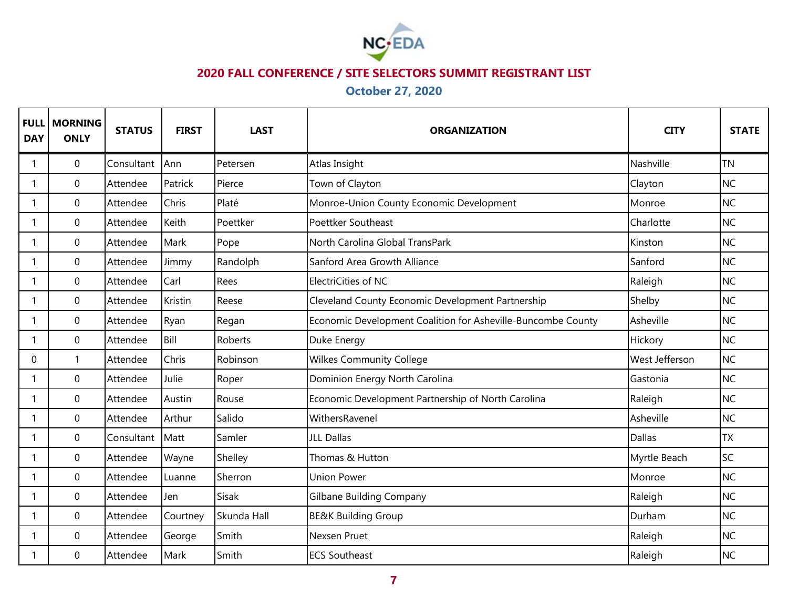

| <b>FULL</b><br><b>DAY</b> | <b>MORNING</b><br><b>ONLY</b> | <b>STATUS</b> | <b>FIRST</b> | <b>LAST</b>    | <b>ORGANIZATION</b>                                          | <b>CITY</b>    | <b>STATE</b> |
|---------------------------|-------------------------------|---------------|--------------|----------------|--------------------------------------------------------------|----------------|--------------|
| -1                        | $\overline{0}$                | Consultant    | Ann          | Petersen       | Atlas Insight                                                | Nashville      | <b>TN</b>    |
|                           | 0                             | Attendee      | Patrick      | Pierce         | Town of Clayton                                              | Clayton        | <b>NC</b>    |
|                           | $\overline{0}$                | Attendee      | Chris        | Platé          | Monroe-Union County Economic Development                     | Monroe         | <b>NC</b>    |
|                           | $\overline{0}$                | Attendee      | Keith        | Poettker       | Poettker Southeast                                           | Charlotte      | <b>NC</b>    |
|                           | $\mathbf 0$                   | Attendee      | Mark         | Pope           | North Carolina Global TransPark                              | Kinston        | <b>NC</b>    |
|                           | $\overline{0}$                | Attendee      | Jimmy        | Randolph       | Sanford Area Growth Alliance                                 | Sanford        | <b>NC</b>    |
|                           | $\overline{0}$                | Attendee      | Carl         | Rees           | <b>ElectriCities of NC</b>                                   | Raleigh        | <b>NC</b>    |
|                           | $\overline{0}$                | Attendee      | Kristin      | Reese          | Cleveland County Economic Development Partnership            | Shelby         | <b>NC</b>    |
|                           | $\overline{0}$                | Attendee      | Ryan         | Regan          | Economic Development Coalition for Asheville-Buncombe County | Asheville      | <b>NC</b>    |
|                           | $\overline{0}$                | Attendee      | Bill         | <b>Roberts</b> | Duke Energy                                                  | Hickory        | <b>NC</b>    |
| 0                         | 1                             | Attendee      | Chris        | Robinson       | <b>Wilkes Community College</b>                              | West Jefferson | <b>NC</b>    |
|                           | $\overline{0}$                | Attendee      | Julie        | Roper          | Dominion Energy North Carolina                               | Gastonia       | <b>NC</b>    |
| -1                        | $\mathbf 0$                   | Attendee      | Austin       | Rouse          | Economic Development Partnership of North Carolina           | Raleigh        | <b>NC</b>    |
|                           | $\overline{0}$                | Attendee      | Arthur       | Salido         | WithersRavenel                                               | Asheville      | <b>NC</b>    |
| -1                        | $\overline{0}$                | Consultant    | Matt         | Samler         | JLL Dallas                                                   | <b>Dallas</b>  | <b>TX</b>    |
|                           | $\overline{0}$                | Attendee      | Wayne        | Shelley        | Thomas & Hutton                                              | Myrtle Beach   | <b>SC</b>    |
|                           | $\mathbf 0$                   | Attendee      | Luanne       | Sherron        | <b>Union Power</b>                                           | Monroe         | <b>NC</b>    |
| $\mathbf 1$               | $\mathbf 0$                   | Attendee      | Jen          | <b>Sisak</b>   | <b>Gilbane Building Company</b>                              | Raleigh        | <b>NC</b>    |
|                           | $\mathbf 0$                   | Attendee      | Courtney     | Skunda Hall    | <b>BE&amp;K Building Group</b>                               | Durham         | <b>NC</b>    |
|                           | $\overline{0}$                | Attendee      | George       | Smith          | Nexsen Pruet                                                 | Raleigh        | <b>NC</b>    |
|                           | 0                             | Attendee      | Mark         | Smith          | <b>ECS Southeast</b>                                         | Raleigh        | <b>NC</b>    |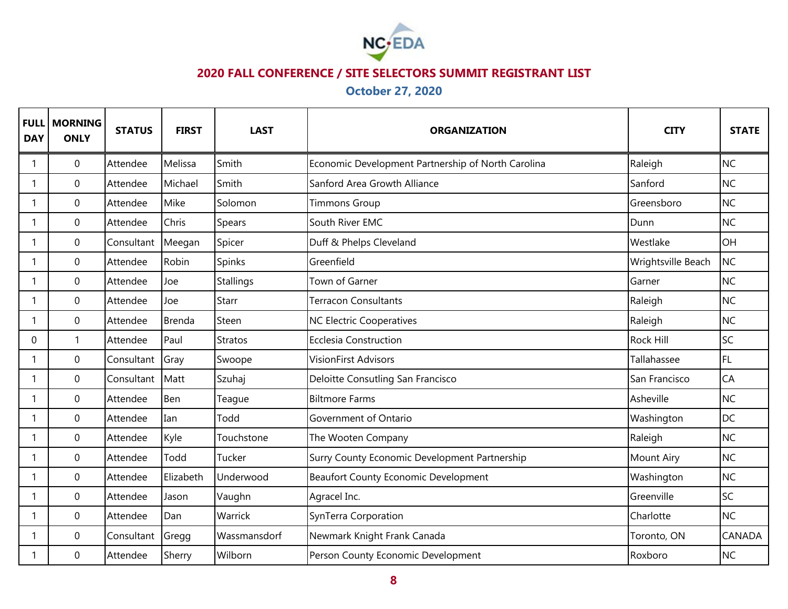

| <b>FULL</b><br><b>DAY</b> | <b>MORNING</b><br><b>ONLY</b> | <b>STATUS</b> | <b>FIRST</b> | <b>LAST</b>      | <b>ORGANIZATION</b>                                | <b>CITY</b>        | <b>STATE</b>  |
|---------------------------|-------------------------------|---------------|--------------|------------------|----------------------------------------------------|--------------------|---------------|
| -1                        | $\overline{0}$                | Attendee      | Melissa      | Smith            | Economic Development Partnership of North Carolina | Raleigh            | <b>NC</b>     |
|                           | 0                             | Attendee      | Michael      | Smith            | Sanford Area Growth Alliance                       | Sanford            | <b>NC</b>     |
|                           | 0                             | Attendee      | Mike         | Solomon          | <b>Timmons Group</b>                               | Greensboro         | <b>NC</b>     |
|                           | $\overline{0}$                | Attendee      | Chris        | <b>Spears</b>    | South River EMC                                    | Dunn               | <b>NC</b>     |
|                           | $\overline{0}$                | Consultant    | Meegan       | Spicer           | Duff & Phelps Cleveland                            | Westlake           | <b>OH</b>     |
|                           | $\overline{0}$                | Attendee      | Robin        | Spinks           | Greenfield                                         | Wrightsville Beach | <b>NC</b>     |
|                           | $\overline{0}$                | Attendee      | Joe          | <b>Stallings</b> | Town of Garner                                     | Garner             | <b>NC</b>     |
|                           | 0                             | Attendee      | Joe          | Starr            | <b>Terracon Consultants</b>                        | Raleigh            | <b>NC</b>     |
|                           | $\overline{0}$                | Attendee      | Brenda       | Steen            | <b>NC Electric Cooperatives</b>                    | Raleigh            | <b>NC</b>     |
| $\Omega$                  | 1                             | Attendee      | Paul         | <b>Stratos</b>   | <b>Ecclesia Construction</b>                       | <b>Rock Hill</b>   | <b>SC</b>     |
|                           | 0                             | Consultant    | Gray         | Swoope           | VisionFirst Advisors                               | Tallahassee        | <b>FL</b>     |
|                           | $\mathbf 0$                   | Consultant    | Matt         | Szuhaj           | Deloitte Consutling San Francisco                  | San Francisco      | CA            |
|                           | $\mathbf 0$                   | Attendee      | Ben          | Teague           | <b>Biltmore Farms</b>                              | Asheville          | <b>NC</b>     |
|                           | $\overline{0}$                | Attendee      | Ian          | Todd             | Government of Ontario                              | Washington         | <b>DC</b>     |
| -1                        | $\overline{0}$                | Attendee      | Kyle         | Touchstone       | The Wooten Company                                 | Raleigh            | <b>NC</b>     |
|                           | 0                             | Attendee      | Todd         | Tucker           | Surry County Economic Development Partnership      | <b>Mount Airy</b>  | <b>NC</b>     |
|                           | $\mathbf 0$                   | Attendee      | Elizabeth    | Underwood        | <b>Beaufort County Economic Development</b>        | Washington         | <b>NC</b>     |
|                           | $\overline{0}$                | Attendee      | Jason        | Vaughn           | Agracel Inc.                                       | Greenville         | <b>SC</b>     |
|                           | $\overline{0}$                | Attendee      | Dan          | Warrick          | SynTerra Corporation                               | Charlotte          | <b>NC</b>     |
| -1                        | $\overline{0}$                | Consultant    | Gregg        | Wassmansdorf     | Newmark Knight Frank Canada                        | Toronto, ON        | <b>CANADA</b> |
|                           | 0                             | Attendee      | Sherry       | Wilborn          | Person County Economic Development                 | Roxboro            | <b>NC</b>     |